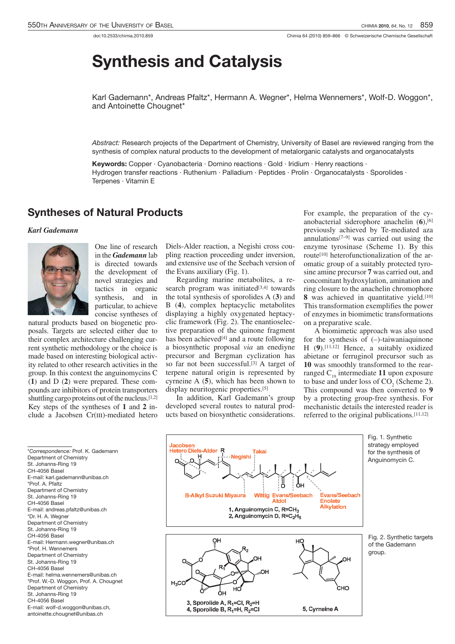# **Synthesis and Catalysis**

Karl Gademann\*, Andreas Pfaltz\*, Hermann A. Wegner\*, Helma Wennemers\*, Wolf-D. Woggon\*, and Antoinette Chougnet\*

*Abstract:* Research projects of the Department of Chemistry, University of Basel are reviewed ranging from the synthesis of complex natural products to the development of metalorganic catalysts and organocatalysts

**Keywords:** Copper · Cyanobacteria · Domino reactions · Gold · Iridium · Henry reactions · Hydrogen transfer reactions · Ruthenium · Palladium · Peptides · Prolin · Organocatalysts · Sporolides · Terpenes · Vitamin E

### **Syntheses of Natural Products**

*Karl Gademann*



One line of research in the *Gademann* lab is directed towards the development of novel strategies and tactics in organic synthesis, and in particular, to achieve concise syntheses of

natural products based on biogenetic proposals. Targets are selected either due to their complex architecture challenging current synthetic methodology or the choice is made based on interesting biological activity related to other research activities in the group. In this context the anguinomycins C (**1**) and D (**2**) were prepared. These compounds are inhibitors of protein transporters shuttling cargo proteins out of the nucleus.[1,2] Key steps of the syntheses of **1** and **2** include a Jacobsen Cr(III)-mediated hetero

Diels-Alder reaction, a Negishi cross coupling reaction proceeding under inversion, and extensive use of the Seebach version of the Evans auxiliary (Fig. 1). Regarding marine metabolites, a re-

search program was initiated<sup>[3,4]</sup> towards the total synthesis of sporolides A (**3**) and B (**4**), complex heptacyclic metabolites displaying a highly oxygenated heptacyclic framework (Fig. 2). The enantioselective preparation of the quinone fragment has been achieved<sup>[4]</sup> and a route following a biosynthetic proposal *via* an enediyne precursor and Bergman cyclization has so far not been successful.[3] A target of terpene natural origin is represented by cyrneine A (**5**), which has been shown to display neuritogenic properties.<sup>[5]</sup>

In addition, Karl Gademann's group developed several routes to natural products based on biosynthetic considerations. For example, the preparation of the cyanobacterial siderophore anachelin (6),<sup>[6]</sup> previously achieved by Te-mediated aza annulations[7–9] was carried out using the enzyme tyrosinase (Scheme 1). By this route[10] heterofunctionalization of the aromatic group of a suitably protected tyrosine amine precursor **7** was carried out, and concomitant hydroxylation, amination and ring closure to the anachelin chromophore **8** was achieved in quantitative yield.[10] This transformation exemplifies the power of enzymes in biomimetic transformations on a preparative scale.

A biomimetic approach was also used for the synthesis of  $(-)$ -taiwaniaquinone H (**9**).[11,12] Hence, a suitably oxidized abietane or ferruginol precursor such as **10** was smoothly transformed to the rearranged  $C_{19}$  intermediate 11 upon exposure to base and under loss of  $CO<sub>2</sub>$  (Scheme 2). This compound was then converted to **9** by a protecting group-free synthesis. For mechanistic details the interested reader is referred to the original publications.[11,12]

Fig. 1. Synthetic strategy employed acobsen for the synthesis of -Negishi Anguinomycin C. άн ö Wittig Evans/Seebach **B-Alkyl Suzuki Miyaura** Evans/Seebach **Aldol Enolate Alkylation** 1, Anguinomycin C, R=CH<sub>3</sub> 2, Anguinomycin D, R=C<sub>2</sub>H<sub>5</sub> Fig. 2. Synthetic targets OH HС of the Gademann  $\overline{R}_2$ group.OН H<sub>2</sub>CC сн∩ 3, Sporolide A,  $R_1 = CI$ ,  $R_2 = H$ 4, Sporolide B,  $R_1$ =H,  $R_2$ =Cl

\**Correspondence:* Prof. K. Gademann Department of Chemistry St. Johanns-Ring 19 CH-4056 Basel E-mail: karl.gademann@unibas.ch \*Prof. A. Pfaltz Department of Chemistry St. Johanns-Ring 19 CH-4056 Basel E-mail: andreas.pfaltz@unibas.ch \*Dr. H. A. Wegner Department of Chemistry St. Johanns-Ring 19 CH-4056 Basel E-mail: Hermann.wegner@unibas.ch \*Prof. H. Wennemers Department of Chemistry St. Johanns-Ring 19 CH-4056 Basel E-mail: helma.wennemers@unibas.ch \*Prof. W.-D. Woggon, Prof. A. Chougnet Department of Chemistry St. Johanns-Ring 19 CH-4056 Basel E-mail: wolf-d.woggon@unibas.ch, antoinette.chougnet@unibas.ch

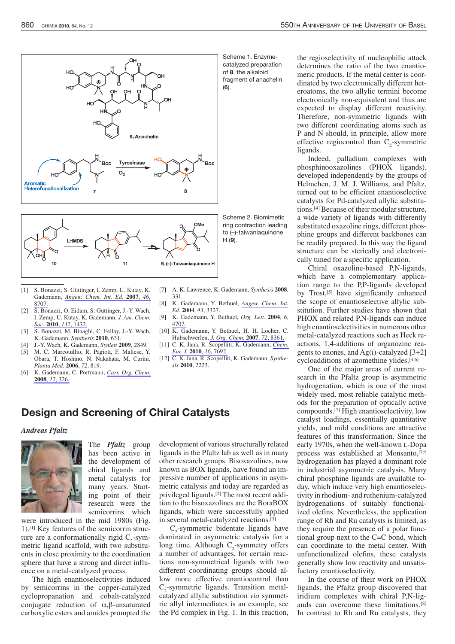



Scheme 2. Biomimetic ring contraction leading to (–)-taiwaniaquinone H (**9**).

- [1] S. Bonazzi, S. Güttinger, I. Zemp, U. Kutay, K. Gademann, *[Angew. Chem. Int. Ed.](http://www.ingentaconnect.com/content/external-references?article=1433-7851(2007)46L.8707[aid=8138201])* **2007**, *46*, [8707.](http://www.ingentaconnect.com/content/external-references?article=1433-7851(2007)46L.8707[aid=8138201])
- [2] S. Bonazzi, O. Eidam, S. Güttinger, J.-Y. Wach, I. Zemp, U. Kutay, K. Gademann, *[J. Am. Chem.](http://www.ingentaconnect.com/content/external-references?article=0002-7863(2010)132L.1432[aid=9190627])  Soc.* **2010**, *132*[, 1432.](http://www.ingentaconnect.com/content/external-references?article=0002-7863(2010)132L.1432[aid=9190627])
- [3] S. Bonazzi, M. Binaghi, C. Fellay, J.-Y. Wach, K. Gademann, *Synthesis* **2010**, 631.
- [4] J.-Y. Wach, K. Gademann, *Synlett* **2009**, 2849.
- [5] M. C. Marcotullio, R. Pagiott, F. Maltese, Y. Obara, T. Hoshino, N. Nakahata, M. Curini, *Planta Med.* **2006**, *72*, 819.
- [6] K. Gademann, C. Portmann, *[Curr. Org. Chem.](http://www.ingentaconnect.com/content/external-references?article=1385-2728(2008)12L.326[aid=8461974])* **2008**, *12*[, 326.](http://www.ingentaconnect.com/content/external-references?article=1385-2728(2008)12L.326[aid=8461974])
- [7] A. K. Lawrence, K. Gademann, *Synthesis* **2008**, 331.
- [8] K. Gademann, Y. Bethuel, *[Angew. Chem. Int.](http://www.ingentaconnect.com/content/external-references?article=1433-7851(2004)43L.3327[aid=6962183]) Ed.* **2004**, *43*[, 3327.](http://www.ingentaconnect.com/content/external-references?article=1433-7851(2004)43L.3327[aid=6962183])
- [9] K. Gademann, Y. Bethuel, *[Org. Lett.](http://www.ingentaconnect.com/content/external-references?article=1523-7060(2004)6L.4707[aid=6962184])* **2004**, *6*, [4707.](http://www.ingentaconnect.com/content/external-references?article=1523-7060(2004)6L.4707[aid=6962184])
- [10] K. Gademann, Y. Bethuel, H. H. Locher, C. Hubschwerlen, *[J. Org. Chem.](http://www.ingentaconnect.com/content/external-references?article=0022-3263(2007)72L.8361[aid=9471838])* **2007**, *72*, 8361.
- [11] C. K. Jana, R. Scopelliti, K. Gademann, *[Chem.](http://www.ingentaconnect.com/content/external-references?article=0947-6539(2010)16L.7692[aid=9471837])  Eur. J.* **2010**, *16*[, 7692.](http://www.ingentaconnect.com/content/external-references?article=0947-6539(2010)16L.7692[aid=9471837])
- [12] C. K. Jana, R. Scopelliti, K. Gademann, *Synthesis* **2010**, 2223.

### **Design and Screening of Chiral Catalysts**

#### *Andreas Pfaltz*



The *Pfaltz* group has been active in the development of chiral ligands and metal catalysts for many years. Starting point of their research were the semicorrins which

were introduced in the mid 1980s (Fig. 1).[1] Key features of the semicorrin structure are a conformationally rigid  $C_2$ -symmetric ligand scaffold, with two substituents in close proximity to the coordination sphere that have a strong and direct influence on a metal-catalyzed process.

The high enantioselectivities induced by semicorrins in the copper-catalyzed cyclopropanation and cobalt-catalyzed conjugate reduction of  $\alpha$ , $\beta$ -unsaturated carboxylic esters and amides prompted the development of various structurally related ligands in the Pfaltz lab as well as in many other research groups. Bisoxazolines, now known as BOX ligands, have found an impressive number of applications in asymmetric catalysis and today are regarded as privileged ligands.[2] The most recent addition to the bisoxazolines are the BoraBOX ligands, which were successfully applied in several metal-catalyzed reactions.[3]

 $C_2$ -symmetric bidentate ligands have dominated in asymmetric catalysis for a long time. Although  $C_2$ -symmetry offers a number of advantages, for certain reactions non-symmetrical ligands with two different coordinating groups should allow more effective enantiocontrol than  $C_2$ -symmetric ligands. Transition metalcatalyzed allylic substitution *via* symmetric allyl intermediates is an example, see the Pd complex in Fig. 1. In this reaction,

the regioselectivity of nucleophilic attack determines the ratio of the two enantiomeric products. If the metal center is coordinated by two electronically different heteroatoms, the two allylic termini become electronically non-equivalent and thus are expected to display different reactivity. Therefore, non-symmetric ligands with two different coordinating atoms such as P and N should, in principle, allow more effective regiocontrol than  $C_2$ -symmetric ligands.

Indeed, palladium complexes with phosphinooxazolines (PHOX ligands), developed independently by the groups of Helmchen, J. M. J. Williams, and Pfaltz, turned out to be efficient enantioselective catalysts for Pd-catalyzed allylic substitutions.[4] Because of their modular structure, a wide variety of ligands with differently substituted oxazoline rings, different phosphine groups and different backbones can be readily prepared. In this way the ligand structure can be sterically and electronically tuned for a specific application.

Chiral oxazoline-based P,N-ligands, which have a complementary application range to the P,P-ligands developed by Trost,<sup>[5]</sup> have significantly enhanced the scope of enantioselective allylic substitution. Further studies have shown that PHOX and related P,N-ligands can induce high enantioselectivities in numerous other metal-catalyzed reactions such as Heck reactions, 1,4-additions of organozinc reagents to enones, and  $Ag(I)$ -catalyzed [3+2] cycloadditions of azomethine ylides.[4,6]

One of the major areas of current research in the Pfaltz group is asymmetric hydrogenation, which is one of the most widely used, most reliable catalytic methods for the preparation of optically active compounds.[7] High enantioselectivity, low catalyst loadings, essentially quantitative yields, and mild conditions are attractive features of this transformation. Since the early 1970s, when the well-known L-Dopa process was established at Monsanto, [7c] hydrogenation has played a dominant role in industrial asymmetric catalysis. Many chiral phosphine ligands are available today, which induce very high enantioselectivity in rhodium- and ruthenium-catalyzed hydrogenations of suitably functionalized olefins. Nevertheless, the application range of Rh and Ru catalysts is limited, as they require the presence of a polar functional group next to the C=C bond, which can coordinate to the metal center. With unfunctionalized olefins, these catalysts generally show low reactivity and unsatisfactory enantioselectivity.

In the course of their work on PHOX ligands, the Pfaltz group discovered that iridium complexes with chiral P,N-ligands can overcome these limitations.[8] In contrast to Rh and Ru catalysts, they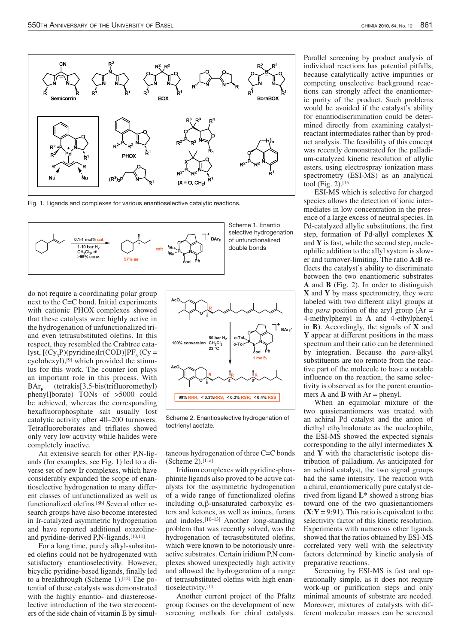

Fig. 1. Ligands and complexes for various enantioselective catalytic reactions.



do not require a coordinating polar group next to the C=C bond. Initial experiments with cationic PHOX complexes showed that these catalysts were highly active in the hydrogenation of unfunctionalized triand even tetrasubstituted olefins. In this respect, they resembled the Crabtree catalyst,  $[(Cy<sub>3</sub>P)(pyridine)Ir(COD)]PF<sub>6</sub>(Cy=$ cyclohexyl),[9] which provided the stimulus for this work. The counter ion plays an important role in this process. With  $BAr_{E}$  (tetrakis[3,5-bis(trifluoromethyl) phenyl]borate) TONs of >5000 could be achieved, whereas the corresponding hexafluorophosphate salt usually lost catalytic activity after 40–200 turnovers. Tetrafluoroborates and triflates showed only very low activity while halides were completely inactive.

An extensive search for other P,N-ligands (for examples, see Fig. 1) led to a diverse set of new Ir complexes, which have considerably expanded the scope of enantioselective hydrogenation to many different classes of unfunctionalized as well as functionalized olefins.[8b] Several other research groups have also become interested in Ir-catalyzed asymmetric hydrogenation and have reported additional oxazolineand pyridine-derived P,N-ligands.<sup>[10,11]</sup>

For a long time, purely alkyl-substituted olefins could not be hydrogenated with satisfactory enantioselectivity. However, bicyclic pyridine-based ligands, finally led to a breakthrough (Scheme 1).<sup>[12]</sup> The potential of these catalysts was demonstrated with the highly enantio- and diastereoselective introduction of the two stereocenters of the side chain of vitamin E by simul-



Scheme 2. Enantioselective hydrogenation of toctrienyl acetate.

taneous hydrogenation of three C=C bonds (Scheme 2).[11a]

Iridium complexes with pyridine-phosphinite ligands also proved to be active catalysts for the asymmetric hydrogenation of a wide range of functionalized olefins including  $\alpha,\beta$ -unsaturated carboxylic esters and ketones, as well as imines, furans and indoles.[10–13] Another long-standing problem that was recently solved, was the hydrogenation of tetrasubstituted olefins, which were known to be notoriously unreactive substrates. Certain iridium P,N complexes showed unexpectedly high activity and allowed the hydrogenation of a range of tetrasubstituted olefins with high enantioselectivity.[14]

Another current project of the Pfaltz group focuses on the development of new screening methods for chiral catalysts. Parallel screening by product analysis of individual reactions has potential pitfalls, because catalytically active impurities or competing unselective background reactions can strongly affect the enantiomeric purity of the product. Such problems would be avoided if the catalyst's ability for enantiodiscrimination could be determined directly from examining catalystreactant intermediates rather than by product analysis. The feasibility of this concept was recently demonstrated for the palladium-catalyzed kinetic resolution of allylic esters, using electrospray ionization mass spectrometry (ESI-MS) as an analytical tool (Fig. 2).[15]

ESI-MS which is selective for charged species allows the detection of ionic intermediates in low concentration in the presence of a large excess of neutral species. In Pd-catalyzed allylic substitutions, the first step, formation of Pd-allyl complexes **X** and **Y** is fast, while the second step, nucleophilic addition to the allyl system is slower and turnover-limiting. The ratio **A:B** reflects the catalyst's ability to discriminate between the two enantiomeric substrates **A** and **B** (Fig. 2). In order to distinguish **X** and **Y** by mass spectrometry, they were labeled with two different alkyl groups at the *para* position of the aryl group (Ar = 4-methylphenyl in **A** and 4-ethylphenyl in **B)**. Accordingly, the signals of **X** and **Y** appear at different positions in the mass spectrum and their ratio can be determined by integration. Because the *para*-alkyl substituents are too remote from the reactive part of the molecule to have a notable influence on the reaction, the same selectivity is observed as for the parent enantiomers  $\bf{A}$  and  $\bf{B}$  with  $\bf{A}r$  = phenyl.

When an equimolar mixture of the two quasienantiomers was treated with an achiral Pd catalyst and the anion of diethyl ethylmalonate as the nucleophile, the ESI-MS showed the expected signals corresponding to the allyl intermediates **X** and **Y** with the characteristic isotope distribution of palladium. As anticipated for an achiral catalyst, the two signal groups had the same intensity. The reaction with a chiral, enantiomerically pure catalyst derived from ligand **L**\* showed a strong bias toward one of the two quasienantiomers (**X**:**Y** = 9:91). This ratio is equivalent to the selectivity factor of this kinetic resolution. Experiments with numerous other ligands showed that the ratios obtained by ESI-MS correlated very well with the selectivity factors determined by kinetic analysis of preparative reactions.

Screening by ESI-MS is fast and operationally simple, as it does not require work-up or purification steps and only minimal amounts of substrate are needed. Moreover, mixtures of catalysts with different molecular masses can be screened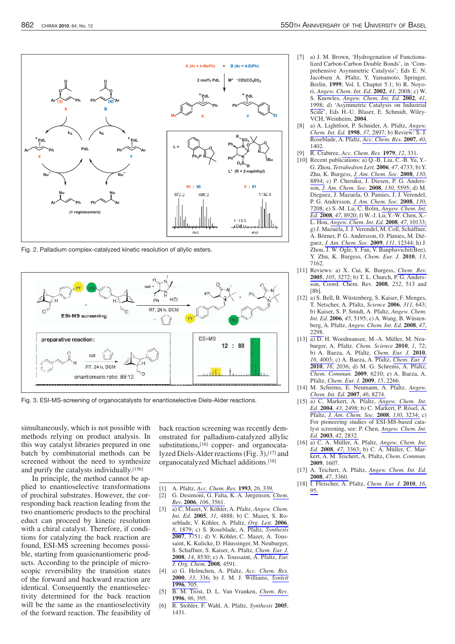

Fig. 2. Palladium complex-catalyzed kinetic resolution of allylic esters.



Fig. 3. ESI-MS-screening of organocatalysts for enantioselective Diels-Alder reactions.

simultaneously, which is not possible with methods relying on product analysis. In this way catalyst libraries prepared in one batch by combinatorial methods can be screened without the need to synthesize and purify the catalysts individually.[15b]

In principle, the method cannot be applied to enantioselective transformations of prochiral substrates. However, the corresponding back reaction leading from the two enantiomeric products to the prochiral educt can proceed by kinetic resolution with a chiral catalyst. Therefore, if conditions for catalyzing the back reaction are found, ESI-MS screening becomes possible, starting from quasienantiomeric products. According to the principle of microscopic reversibility the transition states of the forward and backward reaction are identical. Consequently the enantioselectivity determined for the back reaction will be the same as the enantioselectivity of the forward reaction. The feasibility of back reaction screening was recently demonstrated for palladium-catalyzed allylic substitutions,<sup>[16]</sup> copper- and organocatalyzed Diels-Alder reactions (Fig. 3),<sup>[17]</sup> and organocatalyzed Michael additions.[18]

- [1] A. Pfaltz, *[Acc. Chem. Res.](http://www.ingentaconnect.com/content/external-references?article=0001-4842(1993)26L.339[aid=367728])* **1993**, *26*, 339.
- [2] G. Desimoni, G. Falta, K. A. Jørgensen, *[Chem.](http://www.ingentaconnect.com/content/external-references?article=0009-2665(2006)106L.3561[aid=9425310])  Rev.* **2006**, *106*[, 3561.](http://www.ingentaconnect.com/content/external-references?article=0009-2665(2006)106L.3561[aid=9425310])
- [3] a) C. Mazet, V. Köhler, A. Pfaltz, *Angew. Chem. Int. Ed.* **2005**, *31*, 4888; b) C. Mazet, S. Roseblade, V. Köhler, A. Pfaltz, *[Org. Lett.](http://www.ingentaconnect.com/content/external-references?article=1523-7060(2006)8L.1879[aid=9425308])* **2006**, *8*[, 1879;](http://www.ingentaconnect.com/content/external-references?article=1523-7060(2006)8L.1879[aid=9425308]) c) S. Roseblade, A. Pfaltz, *Synthesis* **2007**, 3751; d) V. Köhler, C. Mazet, A. Toussaint, K. Kulicke, D. Häussinger, M. Neuburger, S. Schaffner, S. Kaiser, A. Pfaltz, *[Chem. Eur. J.](http://www.ingentaconnect.com/content/external-references?article=0947-6539(2008)14L.8530[aid=9425307])* **2008**, *14*[, 8530;](http://www.ingentaconnect.com/content/external-references?article=0947-6539(2008)14L.8530[aid=9425307]) e) A. Toussaint, A. Pfaltz, *Eur. J. Org. Chem.* **2008**, 4591.
- [4] a) G. Helmchen, A. Pfaltz, *[Acc. Chem. Res.](http://www.ingentaconnect.com/content/external-references?article=0001-4842(2000)33L.336[aid=7934098])* **2000**, *33*[, 336;](http://www.ingentaconnect.com/content/external-references?article=0001-4842(2000)33L.336[aid=7934098]) b) J. M. J. Williams, *[Synlett](http://www.ingentaconnect.com/content/external-references?article=0936-5214(1996)0L.705[aid=367746])* **1996**[, 705.](http://www.ingentaconnect.com/content/external-references?article=0936-5214(1996)0L.705[aid=367746])
- [5] B. M. Trost, D. L. Van Vranken, *[Chem. Rev](http://www.ingentaconnect.com/content/external-references?article=0009-2665(1996)96L.395[aid=367732])*. **1996**, *96*[, 395.](http://www.ingentaconnect.com/content/external-references?article=0009-2665(1996)96L.395[aid=367732])
- [6] R. Stohler, F. Wahl, A. Pfaltz, *Synthesis* **2005**, 1431.
- [7] a) J. M. Brown, 'Hydrogenation of Functionalized Carbon-Carbon Double Bonds', in 'Comprehensive Asymmetric Catalysis'; Eds E. N. Jacobsen A. Pfaltz, Y. Yamamoto, Springer, Berlin, **1999**; Vol. I, Chapter 5.1; b) R. Noyori, *[Angew. Chem. Int. Ed.](http://www.ingentaconnect.com/content/external-references?article=1433-7851(2002)41L.2008[aid=6956481])* **2002**, *41*, 2008; c) W. S. Knowles, *[Angew. Chem. Int. Ed.](http://www.ingentaconnect.com/content/external-references?article=1433-7851(2002)41L.1998[aid=8361723])* **2002**, *41*, [1998;](http://www.ingentaconnect.com/content/external-references?article=1433-7851(2002)41L.1998[aid=8361723]) d) 'Asymmetric Catalysis on Industrial Scale', Eds H.-U. Blaser, E. Schmidt, Wiley-VCH, Weinheim, **2004**.
- [8] a) A. Lightfoot, P. Schnider, A. Pfaltz, *[Angew.](http://www.ingentaconnect.com/content/external-references?article=1433-7851(1998)37L.2897[aid=7934091])  [Chem. Int. Ed.](http://www.ingentaconnect.com/content/external-references?article=1433-7851(1998)37L.2897[aid=7934091])* **1998**, *37*, 2897; b) Review: S. J. Roseblade, A. Pfaltz, *[Acc. Chem. Res.](http://www.ingentaconnect.com/content/external-references?article=0001-4842(2007)40L.1402[aid=8461928])* **2007**, *40*, [1402.](http://www.ingentaconnect.com/content/external-references?article=0001-4842(2007)40L.1402[aid=8461928])
- [9] R. Crabtree, *[Acc. Chem. Res.](http://www.ingentaconnect.com/content/external-references?article=0001-4842(1979)12L.331[aid=8361714])* **1979**, *12*, 331.
- [10] Recent publications: a) Q.-B. Liu, C.-B. Yu, Y.-G. Zhou, *Tetrahedron Lett.* **2006***, 47*, 4733; b) Y. Zhu, K. Burgess, *[J. Am. Chem. Soc.](http://www.ingentaconnect.com/content/external-references?article=0002-7863(2008)130L.8894[aid=9425325])* **2008**, *130*, [8894;](http://www.ingentaconnect.com/content/external-references?article=0002-7863(2008)130L.8894[aid=9425325]) c) P. Cheruku, J. Diesen, P. G. Andersson, *[J. Am. Chem. Soc.](http://www.ingentaconnect.com/content/external-references?article=0002-7863(2008)130L.5595[aid=9425324])* **2008**, *130*, 5595; d) M. Dieguez, J. Mazuela, O. Pamies, J. J. Verendel, P. G. Andersson, *[J. Am. Chem. Soc.](http://www.ingentaconnect.com/content/external-references?article=0002-7863(2008)130L.7208[aid=9425323])* **2008**, *130*, [7208;](http://www.ingentaconnect.com/content/external-references?article=0002-7863(2008)130L.7208[aid=9425323]) e) S.-M. Lu, C. Bolm, *[Angew. Chem. Int.](http://www.ingentaconnect.com/content/external-references?article=1433-7851(2008)47L.8920[aid=9425322])  Ed.* **2008**, *47*[, 8920;](http://www.ingentaconnect.com/content/external-references?article=1433-7851(2008)47L.8920[aid=9425322]) f) W.-J. Lu, Y.-W. Chen, X.- L. Hou, *[Angew. Chem. Int. Ed.](http://www.ingentaconnect.com/content/external-references?article=1433-7851(2008)47L.10133[aid=9425321])* **2008**, *47*, 10133; g) J. Mazuela, J. J. Verendel, M. Coll, Schäffner, A. Börner, P. G. Andersson, O. Pàmies, M. Diéguez, *[J. Am. Chem. Soc.](http://www.ingentaconnect.com/content/external-references?article=0002-7863(2009)131L.12344[aid=9425320])* **2009**, *131*, 12344; h) J. Zhou, J. W. Ogle, Y. Fan, V. Banphavichit(Bee), Y. Zhu, K. Burgess, *Chem. Eur. J.* **2010**, *13*, 7162.
- [11] Reviews: a) X. Cui, K. Burgess, *[Chem. Rev.](http://www.ingentaconnect.com/content/external-references?article=0009-2665(2005)105L.3272[aid=8361702])* **2005**, *105*[, 3272;](http://www.ingentaconnect.com/content/external-references?article=0009-2665(2005)105L.3272[aid=8361702]) b) T. L. Church, P. G. Andersson, Coord. Chem. Rev. **2008**, *252*, 513 and [8b].
- [12] a) S. Bell, B. Wüstenberg, S. Kaiser, F. Menges, T. Netscher, A. Pfaltz, *Science* **2006**, *311*, 643; b) Kaiser, S. P. Smidt, A. Pfaltz, *Angew. Chem. Int. Ed.* **2006**, *45*, 5195; c) A. Wang, B. Wüstenberg, A. Pfaltz, *[Angew. Chem. Int. Ed.](http://www.ingentaconnect.com/content/external-references?article=1433-7851(2008)47L.2298[aid=8361694])* **2008**, *47*, [2298.](http://www.ingentaconnect.com/content/external-references?article=1433-7851(2008)47L.2298[aid=8361694])
- [13] a) D. H. Woodmansee, M.-A. Müller, M. Neuburger, A. Pfaltz. *Chem. Science* **2010**, *1*, 72; b) A. Baeza, A. Pfaltz, *[Chem. Eur. J.](http://www.ingentaconnect.com/content/external-references?article=0947-6539(2010)16L.4003[aid=9425316])* **2010**, *16*[, 4003;](http://www.ingentaconnect.com/content/external-references?article=0947-6539(2010)16L.4003[aid=9425316]) c) A. Baeza, A. Pfaltz, *[Chem. Eur. J.](http://www.ingentaconnect.com/content/external-references?article=0947-6539(2010)16L.2036[aid=9425315])* **2010**, *16*[, 2036;](http://www.ingentaconnect.com/content/external-references?article=0947-6539(2010)16L.2036[aid=9425315]) d) M. G. Schrems, A. Pfaltz, *Chem. Commun.* **2009**, 6210; e) A. Baeza, A. Pfaltz, *[Chem. Eur. J.](http://www.ingentaconnect.com/content/external-references?article=0947-6539(2009)15L.2266[aid=9425314])* **2009**, *15*, 2266.
- [14] M. Schrems, E. Neumann, A. Pfaltz, *[Angew.](http://www.ingentaconnect.com/content/external-references?article=1433-7851(2007)46L.8274[aid=8361700])  [Chem. Int. Ed.](http://www.ingentaconnect.com/content/external-references?article=1433-7851(2007)46L.8274[aid=8361700])* **2007**, *46*, 8274.
- [15] a) C. Markert, A. Pfaltz, *[Angew. Chem. Int.](http://www.ingentaconnect.com/content/external-references?article=1433-7851(2004)43L.2498[aid=7936020])  Ed.* **2004**, *43*[, 2498;](http://www.ingentaconnect.com/content/external-references?article=1433-7851(2004)43L.2498[aid=7936020]) b) C. Markert, P. Rösel, A. Pfaltz, *[J. Am. Chem. Soc.](http://www.ingentaconnect.com/content/external-references?article=0002-7863(2008)130L.3234[aid=9425313])* **2008**, *130*, 3234; c) For pioneering studies of ESI-MS-based catalyst screening, see: P. Chen, *[Angew. Chem. Int.](http://www.ingentaconnect.com/content/external-references?article=1433-7851(2003)42L.2832[aid=9425312])  Ed.* **2003**, *42*[, 2832.](http://www.ingentaconnect.com/content/external-references?article=1433-7851(2003)42L.2832[aid=9425312])
- [16] a) C. A. Müller, A. Pfaltz, *[Angew. Chem. Int.](http://www.ingentaconnect.com/content/external-references?article=1433-7851(2008)47L.3363[aid=8461923])  Ed.* **2008**, *47*[, 3363;](http://www.ingentaconnect.com/content/external-references?article=1433-7851(2008)47L.3363[aid=8461923]) b) C. A. Müller, C. Markert, A. M. Teichert, A. Pfaltz, *Chem. Commun.*  **2009**, 1607.
- [17] A. Teichert, A. Pfaltz, *[Angew. Chem. Int. Ed.](http://www.ingentaconnect.com/content/external-references?article=1433-7851(2008)47L.3360[aid=8461922])*  **2008**, *47*[, 3360.](http://www.ingentaconnect.com/content/external-references?article=1433-7851(2008)47L.3360[aid=8461922])
- [18] I. Fleischer, A. Pfaltz, *[Chem. Eur. J.](http://www.ingentaconnect.com/content/external-references?article=0947-6539(2010)16L.95[aid=9425311])* **2010**, *16*, [95.](http://www.ingentaconnect.com/content/external-references?article=0947-6539(2010)16L.95[aid=9425311])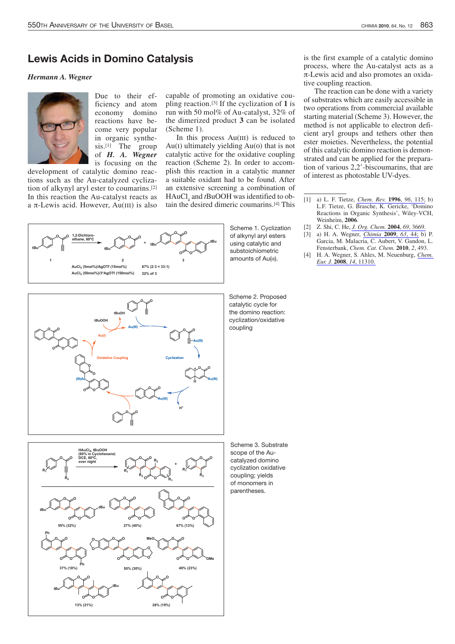### **Lewis Acids in Domino Catalysis**

### *Hermann A. Wegner*



Due to their efficiency and atom economy domino reactions have become very popular in organic synthesis.<sup>[1]</sup> The group of *H. A. Wegner* is focusing on the

development of catalytic domino reactions such as the Au-catalyzed cyclization of alkynyl aryl ester to coumarins.[2] In this reaction the Au-catalyst reacts as a  $\pi$ -Lewis acid. However, Au(III) is also capable of promoting an oxidative coupling reaction.[3] If the cyclization of **1** is run with 50 mol% of Au-catalyst, 32% of the dimerized product **3** can be isolated (Scheme 1).

In this process  $Au(III)$  is reduced to  $Au(I)$  ultimately yielding  $Au(0)$  that is not catalytic active for the oxidative coupling reaction (Scheme 2). In order to accomplish this reaction in a catalytic manner a suitable oxidant had to be found. After an extensive screening a combination of  $HAuCl<sub>4</sub>$  and *t*BuOOH was identified to obtain the desired dimeric coumarins.[4] This

**O O O O O O** AuCl<sub>3</sub> (5mol%)/AgOTf (15mol%) 87% (2:3 = 33:1) ethane, 60°C **ethane, 60ºC AuCl3 (5mol%)/AgOTf (15mol%) 87% (2:3 = 33:1) AuCl3 (50mol%)/3\*AgOTf (150mol%) 32% of 3**

Scheme 1. Cyclization of alkynyl aryl esters using catalytic and substoichiometric amounts of Au(III).



Scheme 2. Proposed catalytic cycle for the domino reaction: cyclization/oxidative coupling

**HAuCl4, tBuOOH (80% in Cyclohexane) DCE, 60ºC, over night O O O O O O**  $\mathbf{r}$ **R1 R1 R1 R2 R2 R2 R1 O O O O O O** 55% (32%) 27% (40%) **55% (32%) 27% (40%) 67% (13%)**  $\mathbf{I}$ **O O O O O O O O**  $6(23%$ **37% (18%) 50% (30%) 40% (23%) O O O O 13% (21%) 28% (19%)**

Scheme 3. Substrate scope of the Aucatalyzed domino cyclization oxidative coupling; yields of monomers in parentheses.

is the first example of a catalytic domino process, where the Au-catalyst acts as a  $\pi$ -Lewis acid and also promotes an oxidative coupling reaction.

The reaction can be done with a variety of substrates which are easily accessible in two operations from commercial available starting material (Scheme 3). However, the method is not applicable to electron deficient aryl groups and tethers other then ester moieties. Nevertheless, the potential of this catalytic domino reaction is demonstrated and can be applied for the preparation of various 2,2'-biscoumarins, that are of interest as photostable UV-dyes.

- [1] a) L. F. Tietze, *[Chem. Rev.](http://www.ingentaconnect.com/content/external-references?article=0009-2665(1996)96L.115[aid=394686])* **1996**, *96*, 115; b) L.F. Tietze, G. Brasche, K. Gericke, 'Domino Reactions in Organic Synthesis', Wiley-VCH, Weinheim, **2006**.
- [2] Z. Shi, C. He, *[J. Org. Chem.](http://www.ingentaconnect.com/content/external-references?article=0022-3263(2004)69L.3669[aid=8461876])* **2004**, *69*, 3669.
- [3] a) H. A. Wegner, *[Chimia](http://www.ingentaconnect.com/content/external-references?article=0009-4293(2009)63L.44[aid=9190101])* **2009**, *63*, 44; b) P. Garcia, M. Malacria, C. Aubert, V. Gandon, L. Fensterbank, *Chem. Cat. Chem.* **2010**, *2*, 493.
- [4] H. A. Wegner, S. Ahles, M. Neuenburg, *[Chem.](http://www.ingentaconnect.com/content/external-references?article=0947-6539(2008)14L.11310[aid=8680276])  Eur. J.* **2008**, *14*[, 11310.](http://www.ingentaconnect.com/content/external-references?article=0947-6539(2008)14L.11310[aid=8680276])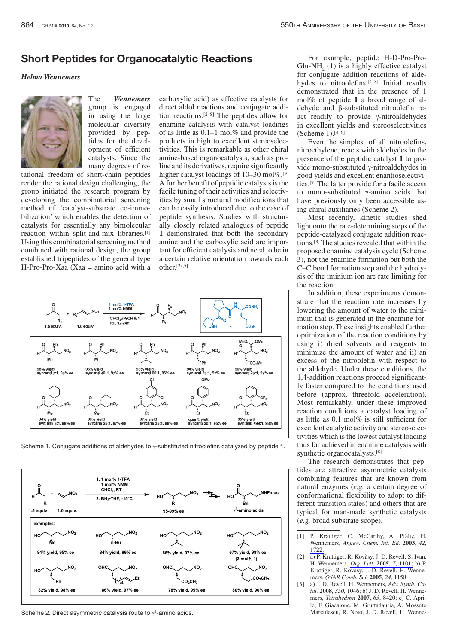## **Short Peptides for Organocatalytic Reactions**

### *Helma Wennemers*



The *Wennemers* group is engaged in using the large molecular diversity provided by peptides for the development of efficient catalysts. Since the many degrees of ro-

tational freedom of short-chain peptides render the rational design challenging, the group initiated the research program by developing the combinatorial screening method of 'catalyst-substrate co-immobilization' which enables the detection of catalysts for essentially any bimolecular reaction within split-and-mix libraries.[1] Using this combinatorial screening method combined with rational design, the group established tripeptides of the general type H-Pro-Pro-Xaa (Xaa = amino acid with a carboxylic acid) as effective catalysts for direct aldol reactions and conjugate addition reactions.[2–8] The peptides allow for enamine catalysis with catalyst loadings of as little as 0.1–1 mol% and provide the products in high to excellent stereoselectivities. This is remarkable as other chiral amine-based organocatalysts, such as proline and its derivatives, require significantly higher catalyst loadings of 10–30 mol%.<sup>[9]</sup> A further benefit of peptidic catalysts is the facile tuning of their activities and selectivities by small structural modifications that can be easily introduced due to the ease of peptide synthesis. Studies with structurally closely related analogues of peptide **1** demonstrated that both the secondary amine and the carboxylic acid are important for efficient catalysis and need to be in a certain relative orientation towards each other.[3a,5]



Scheme 1. Conjugate additions of aldehydes to y-substituted nitroolefins catalyzed by peptide 1.



Scheme 2. Direct asymmetric catalysis route to  $\gamma^2$ -amino acids.

For example, peptide H-D-Pro-Pro-Glu-NH<sub>2</sub> (1) is a highly effective catalyst for conjugate addition reactions of aldehydes to nitroolefins. $[4-8]$  Initial results demonstrated that in the presence of 1 mol% of peptide **1** a broad range of aldehyde and  $\beta$ -substituted nitroolefin react readily to provide  $\gamma$ -nitroaldehydes in excellent yields and stereoselectivities (Scheme 1).[4–6]

Even the simplest of all nitroolefins, nitroethylene, reacts with aldehydes in the presence of the peptidic catalyst **1** to provide mono-substituted  $\gamma$ -nitroaldehydes in good yields and excellent enantioselectivities.[7] The latter provide for a facile access to mono-substituted  $\gamma$ -amino acids that have previously only been accessible using chiral auxiliaries (Scheme 2).

Most recently, kinetic studies shed light onto the rate-determining steps of the peptide-catalyzed conjugate addition reactions.[8] The studies revealed that within the proposed enamine catalysis cycle (Scheme 3), not the enamine formation but both the C–C bond formation step and the hydrolysis of the iminium ion are rate limiting for the reaction.

In addition, these experiments demonstrate that the reaction rate increases by lowering the amount of water to the minimum that is generated in the enamine formation step. These insights enabled further optimization of the reaction conditions by using i) dried solvents and reagents to minimize the amount of water and ii) an excess of the nitroolefin with respect to the aldehyde. Under these conditions, the 1,4-addition reactions proceed significantly faster compared to the conditions used before (approx. threefold acceleration). Most remarkably, under these improved reaction conditions a catalyst loading of as little as 0.1 mol% is still sufficient for excellent catalytic activity and stereoselectivities which is the lowest catalyst loading thus far achieved in enamine catalysis with synthetic organocatalysts.[8]

The research demonstrates that peptides are attractive asymmetric catalysts combining features that are known from natural enzymes (*e.g.* a certain degree of conformational flexibility to adopt to different transition states) and others that are typical for man-made synthetic catalysts (*e.g.* broad substrate scope).

- [1] P. Krattiger, C. McCarthy, A. Pfaltz, H. Wennemers, *[Angew. Chem. Int. Ed.](http://www.ingentaconnect.com/content/external-references?article=1433-7851(2003)42L.1722[aid=6962204])* **2003**, *42*, [1722.](http://www.ingentaconnect.com/content/external-references?article=1433-7851(2003)42L.1722[aid=6962204])
- [2] a) P. Krattiger, R. Kovàsy, J. D. Revell, S. Ivan, H. Wennemers, *[Org. Lett.](http://www.ingentaconnect.com/content/external-references?article=1523-7060(2005)7L.1101[aid=6962208])* **2005**, *7*, 1101; b) P. Krattiger, R. Kovàsy, J. D. Revell, H. Wennemers, *[QSAR Comb. Sci.](http://www.ingentaconnect.com/content/external-references?article=1611-020X(2005)24L.1158[aid=7821596])* **2005**, *24*, 1158.
- [3] a) J. D. Revell, H. Wennemers, *Adv. Synth. Catal.* **2008**, *350,* 1046; b) J. D. Revell, H. Wennemers, *Tetrahedron* **2007**, *63*, 8420; c) C. Aprile, F. Giacalone, M. Gruttadauria, A. Mossuto Marculescu, R. Noto, J. D. Revell, H. Wenne-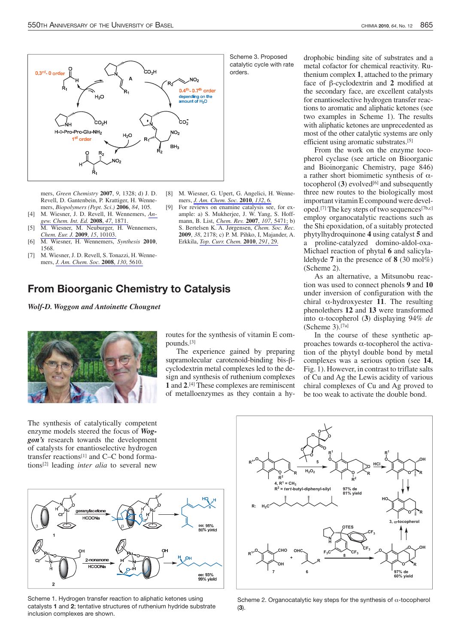

mers, *Green Chemistry* **2007**, *9*, 1328; d) J. D. Revell, D. Gantenbein, P. Krattiger, H. Wennemers, *Biopolymers (Pept. Sci*.*)* **2006**, *84*, 105.

- [4] M. Wiesner, J. D. Revell, H. Wennemers, *[An](http://www.ingentaconnect.com/content/external-references?article=1433-7851(2008)47L.1871[aid=8461878])[gew. Chem. Int. Ed.](http://www.ingentaconnect.com/content/external-references?article=1433-7851(2008)47L.1871[aid=8461878])* **2008**, *47*, 1871.
- M. Wiesner, M. Neuburger, H. Wennemers, *[Chem. Eur. J.](http://www.ingentaconnect.com/content/external-references?article=0947-6539(2009)15L.10103[aid=9425336])* **2009**, *15*, 10103.
- [6] M. Wiesner, H. Wennemers, *Synthesis* **2010**, 1568.
- [7] M. Wiesner, J. D. Revell, S. Tonazzi, H. Wennemers, *[J. Am. Chem. Soc.](http://www.ingentaconnect.com/content/external-references?article=0002-7863(2008)130L.5610[aid=8461877])* **2008**, *130*, 5610.

# **From Bioorganic Chemistry to Catalysis**

*Wolf-D. Woggon and Antoinette Chougnet*



The synthesis of catalytically competent enzyme models steered the focus of *Woggon's* research towards the development of catalysts for enantioselective hydrogen transfer reactions[1] and C–C bond formations[2] leading *inter alia* to several new



Scheme 1. Hydrogen transfer reaction to aliphatic ketones using catalysts **1** and **2**; tentative structures of ruthenium hydride substrate inclusion complexes are shown.

[8] M. Wiesner, G. Upert, G. Angelici, H. Wennemers, *[J. Am. Chem. Soc.](http://www.ingentaconnect.com/content/external-references?article=0002-7863(2010)132L.6[aid=9425335])* **2010**, *132*, 6.

[9] For reviews on enamine catalysis see, for example: a) S. Mukherjee, J. W. Yang, S. Hoffmann, B. List, *[Chem. Rev.](http://www.ingentaconnect.com/content/external-references?article=0009-2665(2007)107L.5471[aid=8461978])* **2007**, *107*, 5471; b) S. Bertelsen K. A. Jørgensen, *Chem. Soc. Rec.* **2009**, *38*, 2178; c) P. M. Pihko, I, Majander, A. Erkkila, *[Top. Curr. Chem.](http://www.ingentaconnect.com/content/external-references?article=0340-1022(2010)291L.29[aid=9425334])* **2010**, *291*, 29.

routes for the synthesis of vitamin E compounds.[3]

The experience gained by preparing supramolecular carotenoid-binding bis- $\beta$ cyclodextrin metal complexes led to the design and synthesis of ruthenium complexes **1** and **2**. [4] These complexes are reminiscent of metalloenzymes as they contain a hydrophobic binding site of substrates and a metal cofactor for chemical reactivity. Ruthenium complex **1**, attached to the primary face of  $\beta$ -cyclodextrin and 2 modified at the secondary face, are excellent catalysts for enantioselective hydrogen transfer reactions to aromatic and aliphatic ketones (see two examples in Scheme 1). The results with aliphatic ketones are unprecedented as most of the other catalytic systems are only efficient using aromatic substrates.[5]

From the work on the enzyme tocopherol cyclase (see article on Bioorganic and Bioinorganic Chemistry, page 846) a rather short biomimetic synthesis of  $\alpha$ tocopherol  $(3)$  evolved<sup>[6]</sup> and subsequently three new routes to the biologically most important vitamin E compound were developed.[7] The key steps of two sequences[7b,c] employ organocatalytic reactions such as the Shi epoxidation, of a suitably protected phytylhydroquinone **4** using catalyst **5** and a proline-catalyzed domino-aldol-oxa-Michael reaction of phytal **6** and salicylaldehyde **7** in the presence of **8** (30 mol%) (Scheme 2).

As an alternative, a Mitsunobu reaction was used to connect phenols **9** and **10** under inversion of configuration with the chiral  $\alpha$ -hydroxyester 11. The resulting phenolethers **12** and **13** were transformed into  $\alpha$ -tocopherol (3) displaying 94% *de* (Scheme 3).[7a]

In the course of these synthetic approaches towards  $\alpha$ -tocopherol the activation of the phytyl double bond by metal complexes was a serious option (see **14**, Fig. 1). However, in contrast to triflate salts of Cu and Ag the Lewis acidity of various chiral complexes of Cu and Ag proved to be too weak to activate the double bond.



Scheme 2. Organocatalytic key steps for the synthesis of  $\alpha$ -tocopherol (**3**).